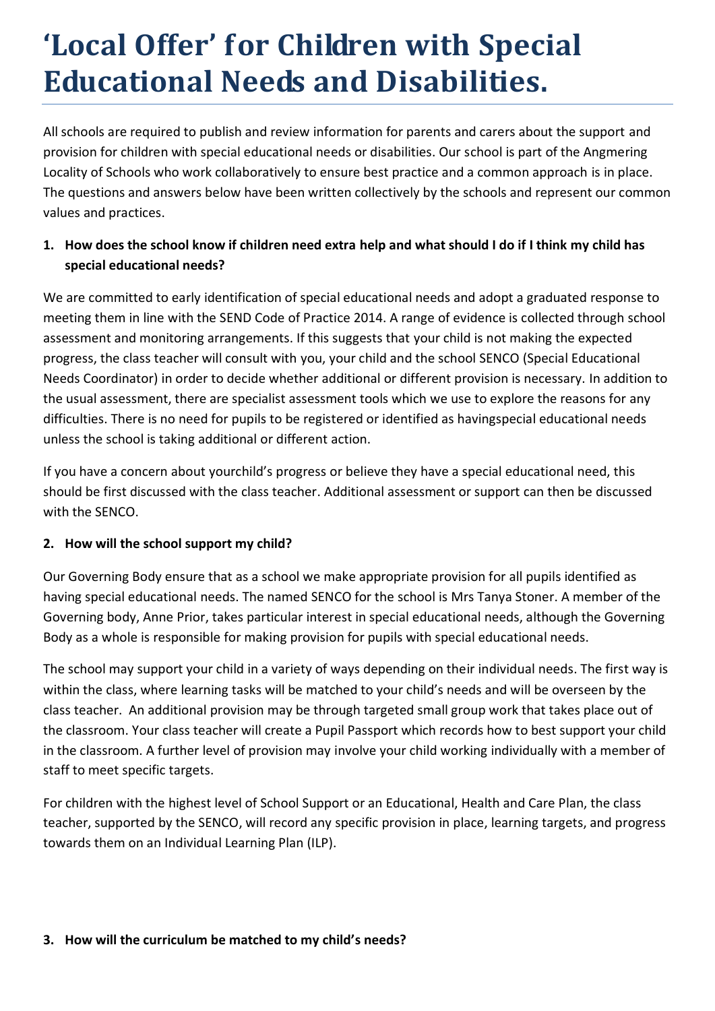# **'Local Offer' for Children with Special Educational Needs and Disabilities.**

All schools are required to publish and review information for parents and carers about the support and provision for children with special educational needs or disabilities. Our school is part of the Angmering Locality of Schools who work collaboratively to ensure best practice and a common approach is in place. The questions and answers below have been written collectively by the schools and represent our common values and practices.

# **1. How does the school know if children need extra help and what should I do if I think my child has special educational needs?**

We are committed to early identification of special educational needs and adopt a graduated response to meeting them in line with the SEND Code of Practice 2014. A range of evidence is collected through school assessment and monitoring arrangements. If this suggests that your child is not making the expected progress, the class teacher will consult with you, your child and the school SENCO (Special Educational Needs Coordinator) in order to decide whether additional or different provision is necessary. In addition to the usual assessment, there are specialist assessment tools which we use to explore the reasons for any difficulties. There is no need for pupils to be registered or identified as havingspecial educational needs unless the school is taking additional or different action.

If you have a concern about yourchild's progress or believe they have a special educational need, this should be first discussed with the class teacher. Additional assessment or support can then be discussed with the SENCO.

## **2. How will the school support my child?**

Our Governing Body ensure that as a school we make appropriate provision for all pupils identified as having special educational needs. The named SENCO for the school is Mrs Tanya Stoner. A member of the Governing body, Anne Prior, takes particular interest in special educational needs, although the Governing Body as a whole is responsible for making provision for pupils with special educational needs.

The school may support your child in a variety of ways depending on their individual needs. The first way is within the class, where learning tasks will be matched to your child's needs and will be overseen by the class teacher. An additional provision may be through targeted small group work that takes place out of the classroom. Your class teacher will create a Pupil Passport which records how to best support your child in the classroom. A further level of provision may involve your child working individually with a member of staff to meet specific targets.

For children with the highest level of School Support or an Educational, Health and Care Plan, the class teacher, supported by the SENCO, will record any specific provision in place, learning targets, and progress towards them on an Individual Learning Plan (ILP).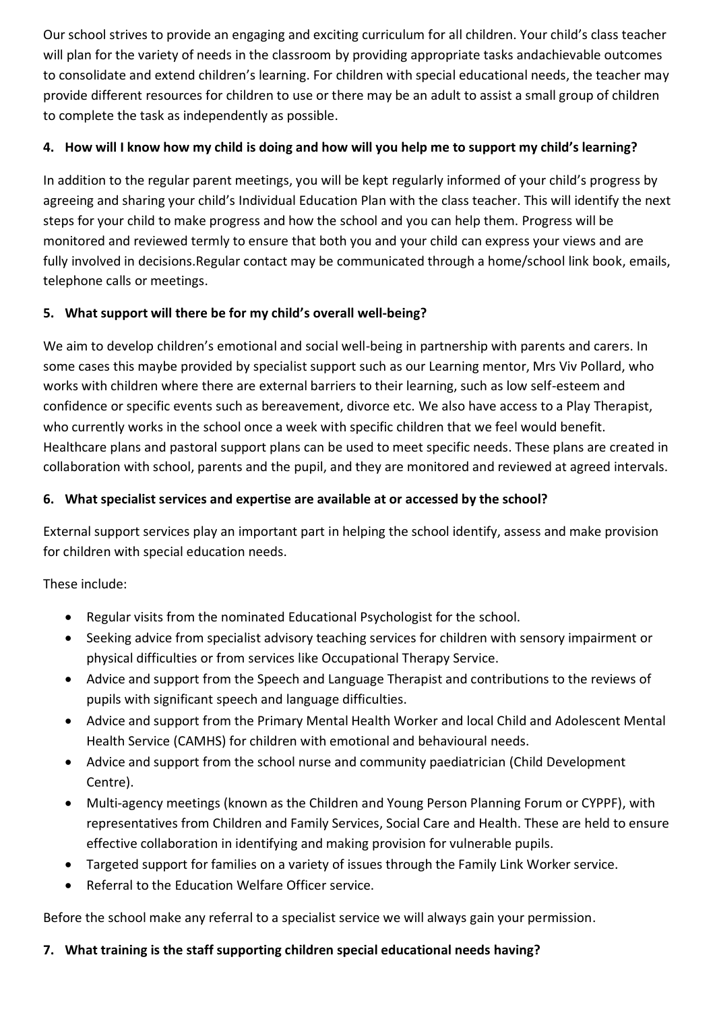Our school strives to provide an engaging and exciting curriculum for all children. Your child's class teacher will plan for the variety of needs in the classroom by providing appropriate tasks andachievable outcomes to consolidate and extend children's learning. For children with special educational needs, the teacher may provide different resources for children to use or there may be an adult to assist a small group of children to complete the task as independently as possible.

## **4. How will I know how my child is doing and how will you help me to support my child's learning?**

In addition to the regular parent meetings, you will be kept regularly informed of your child's progress by agreeing and sharing your child's Individual Education Plan with the class teacher. This will identify the next steps for your child to make progress and how the school and you can help them. Progress will be monitored and reviewed termly to ensure that both you and your child can express your views and are fully involved in decisions.Regular contact may be communicated through a home/school link book, emails, telephone calls or meetings.

# **5. What support will there be for my child's overall well-being?**

We aim to develop children's emotional and social well-being in partnership with parents and carers. In some cases this maybe provided by specialist support such as our Learning mentor, Mrs Viv Pollard, who works with children where there are external barriers to their learning, such as low self-esteem and confidence or specific events such as bereavement, divorce etc. We also have access to a Play Therapist, who currently works in the school once a week with specific children that we feel would benefit. Healthcare plans and pastoral support plans can be used to meet specific needs. These plans are created in collaboration with school, parents and the pupil, and they are monitored and reviewed at agreed intervals.

## **6. What specialist services and expertise are available at or accessed by the school?**

External support services play an important part in helping the school identify, assess and make provision for children with special education needs.

These include:

- Regular visits from the nominated Educational Psychologist for the school.
- Seeking advice from specialist advisory teaching services for children with sensory impairment or physical difficulties or from services like Occupational Therapy Service.
- Advice and support from the Speech and Language Therapist and contributions to the reviews of pupils with significant speech and language difficulties.
- Advice and support from the Primary Mental Health Worker and local Child and Adolescent Mental Health Service (CAMHS) for children with emotional and behavioural needs.
- Advice and support from the school nurse and community paediatrician (Child Development Centre).
- Multi-agency meetings (known as the Children and Young Person Planning Forum or CYPPF), with representatives from Children and Family Services, Social Care and Health. These are held to ensure effective collaboration in identifying and making provision for vulnerable pupils.
- Targeted support for families on a variety of issues through the Family Link Worker service.
- Referral to the Education Welfare Officer service.

Before the school make any referral to a specialist service we will always gain your permission.

## **7. What training is the staff supporting children special educational needs having?**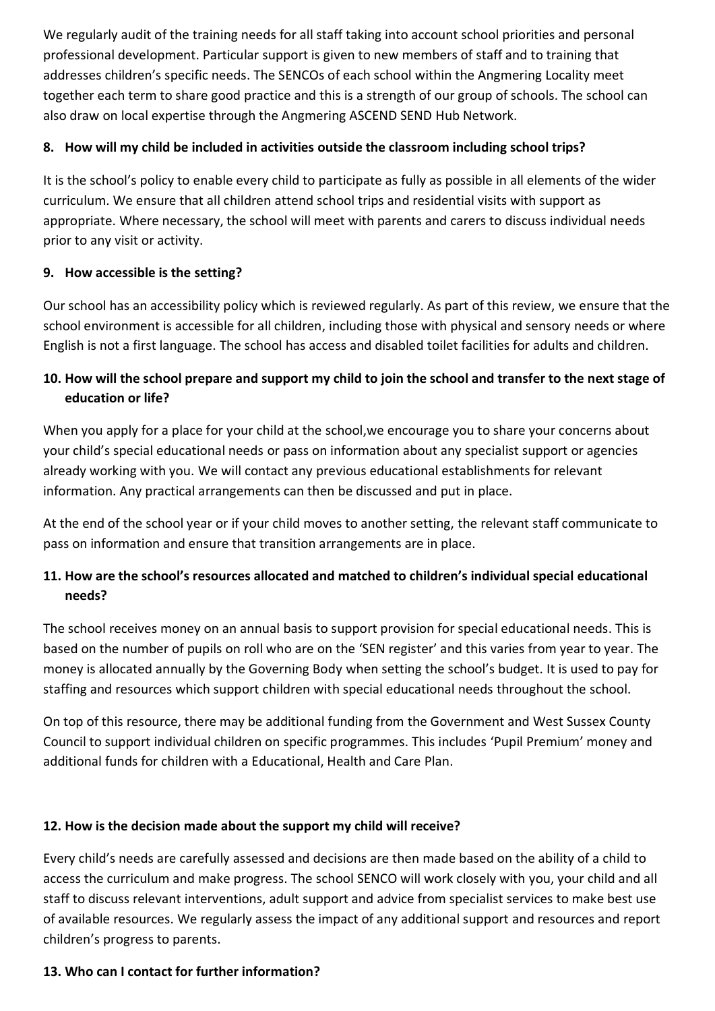We regularly audit of the training needs for all staff taking into account school priorities and personal professional development. Particular support is given to new members of staff and to training that addresses children's specific needs. The SENCOs of each school within the Angmering Locality meet together each term to share good practice and this is a strength of our group of schools. The school can also draw on local expertise through the Angmering ASCEND SEND Hub Network.

## **8. How will my child be included in activities outside the classroom including school trips?**

It is the school's policy to enable every child to participate as fully as possible in all elements of the wider curriculum. We ensure that all children attend school trips and residential visits with support as appropriate. Where necessary, the school will meet with parents and carers to discuss individual needs prior to any visit or activity.

## **9. How accessible is the setting?**

Our school has an accessibility policy which is reviewed regularly. As part of this review, we ensure that the school environment is accessible for all children, including those with physical and sensory needs or where English is not a first language. The school has access and disabled toilet facilities for adults and children.

# **10. How will the school prepare and support my child to join the school and transfer to the next stage of education or life?**

When you apply for a place for your child at the school, we encourage you to share your concerns about your child's special educational needs or pass on information about any specialist support or agencies already working with you. We will contact any previous educational establishments for relevant information. Any practical arrangements can then be discussed and put in place.

At the end of the school year or if your child moves to another setting, the relevant staff communicate to pass on information and ensure that transition arrangements are in place.

# **11. How are the school's resources allocated and matched to children's individual special educational needs?**

The school receives money on an annual basis to support provision for special educational needs. This is based on the number of pupils on roll who are on the 'SEN register' and this varies from year to year. The money is allocated annually by the Governing Body when setting the school's budget. It is used to pay for staffing and resources which support children with special educational needs throughout the school.

On top of this resource, there may be additional funding from the Government and West Sussex County Council to support individual children on specific programmes. This includes 'Pupil Premium' money and additional funds for children with a Educational, Health and Care Plan.

## **12. How is the decision made about the support my child will receive?**

Every child's needs are carefully assessed and decisions are then made based on the ability of a child to access the curriculum and make progress. The school SENCO will work closely with you, your child and all staff to discuss relevant interventions, adult support and advice from specialist services to make best use of available resources. We regularly assess the impact of any additional support and resources and report children's progress to parents.

## **13. Who can I contact for further information?**